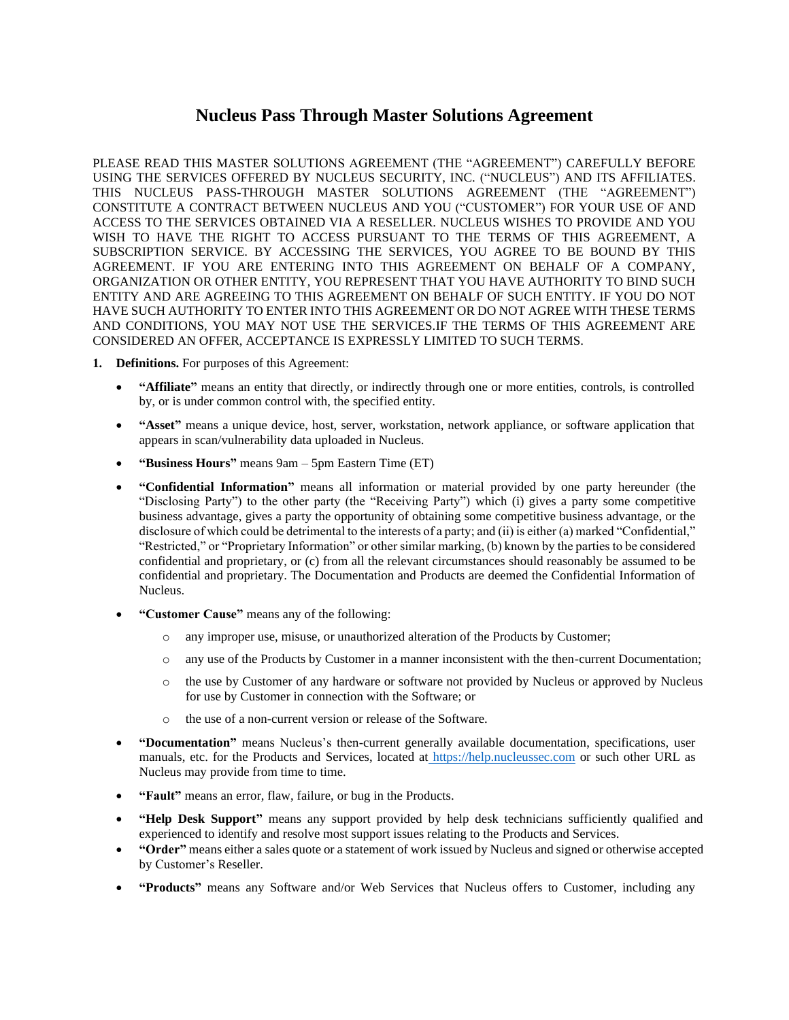# **Nucleus Pass Through Master Solutions Agreement**

PLEASE READ THIS MASTER SOLUTIONS AGREEMENT (THE "AGREEMENT") CAREFULLY BEFORE USING THE SERVICES OFFERED BY NUCLEUS SECURITY, INC. ("NUCLEUS") AND ITS AFFILIATES. THIS NUCLEUS PASS-THROUGH MASTER SOLUTIONS AGREEMENT (THE "AGREEMENT") CONSTITUTE A CONTRACT BETWEEN NUCLEUS AND YOU ("CUSTOMER") FOR YOUR USE OF AND ACCESS TO THE SERVICES OBTAINED VIA A RESELLER. NUCLEUS WISHES TO PROVIDE AND YOU WISH TO HAVE THE RIGHT TO ACCESS PURSUANT TO THE TERMS OF THIS AGREEMENT, A SUBSCRIPTION SERVICE. BY ACCESSING THE SERVICES, YOU AGREE TO BE BOUND BY THIS AGREEMENT. IF YOU ARE ENTERING INTO THIS AGREEMENT ON BEHALF OF A COMPANY, ORGANIZATION OR OTHER ENTITY, YOU REPRESENT THAT YOU HAVE AUTHORITY TO BIND SUCH ENTITY AND ARE AGREEING TO THIS AGREEMENT ON BEHALF OF SUCH ENTITY. IF YOU DO NOT HAVE SUCH AUTHORITY TO ENTER INTO THIS AGREEMENT OR DO NOT AGREE WITH THESE TERMS AND CONDITIONS, YOU MAY NOT USE THE SERVICES.IF THE TERMS OF THIS AGREEMENT ARE CONSIDERED AN OFFER, ACCEPTANCE IS EXPRESSLY LIMITED TO SUCH TERMS.

- **1. Definitions.** For purposes of this Agreement:
	- **"Affiliate"** means an entity that directly, or indirectly through one or more entities, controls, is controlled by, or is under common control with, the specified entity.
	- **"Asset"** means a unique device, host, server, workstation, network appliance, or software application that appears in scan/vulnerability data uploaded in Nucleus.
	- **"Business Hours"** means 9am 5pm Eastern Time (ET)
	- **"Confidential Information"** means all information or material provided by one party hereunder (the "Disclosing Party") to the other party (the "Receiving Party") which (i) gives a party some competitive business advantage, gives a party the opportunity of obtaining some competitive business advantage, or the disclosure of which could be detrimental to the interests of a party; and (ii) is either (a) marked "Confidential," "Restricted," or "Proprietary Information" or other similar marking, (b) known by the parties to be considered confidential and proprietary, or (c) from all the relevant circumstances should reasonably be assumed to be confidential and proprietary. The Documentation and Products are deemed the Confidential Information of Nucleus.
	- **"Customer Cause"** means any of the following:
		- o any improper use, misuse, or unauthorized alteration of the Products by Customer;
		- o any use of the Products by Customer in a manner inconsistent with the then-current Documentation;
		- o the use by Customer of any hardware or software not provided by Nucleus or approved by Nucleus for use by Customer in connection with the Software; or
		- o the use of a non-current version or release of the Software.
	- **"Documentation"** means Nucleus's then-current generally available documentation, specifications, user manuals, etc. for the Products and Services, located at [https://help.nucleussec.com](https://help.nucleussec.com/) or such other URL as Nucleus may provide from time to time.
	- **"Fault"** means an error, flaw, failure, or bug in the Products.
	- **"Help Desk Support"** means any support provided by help desk technicians sufficiently qualified and experienced to identify and resolve most support issues relating to the Products and Services.
	- **"Order"** means either a sales quote or a statement of work issued by Nucleus and signed or otherwise accepted by Customer's Reseller.
	- **"Products"** means any Software and/or Web Services that Nucleus offers to Customer, including any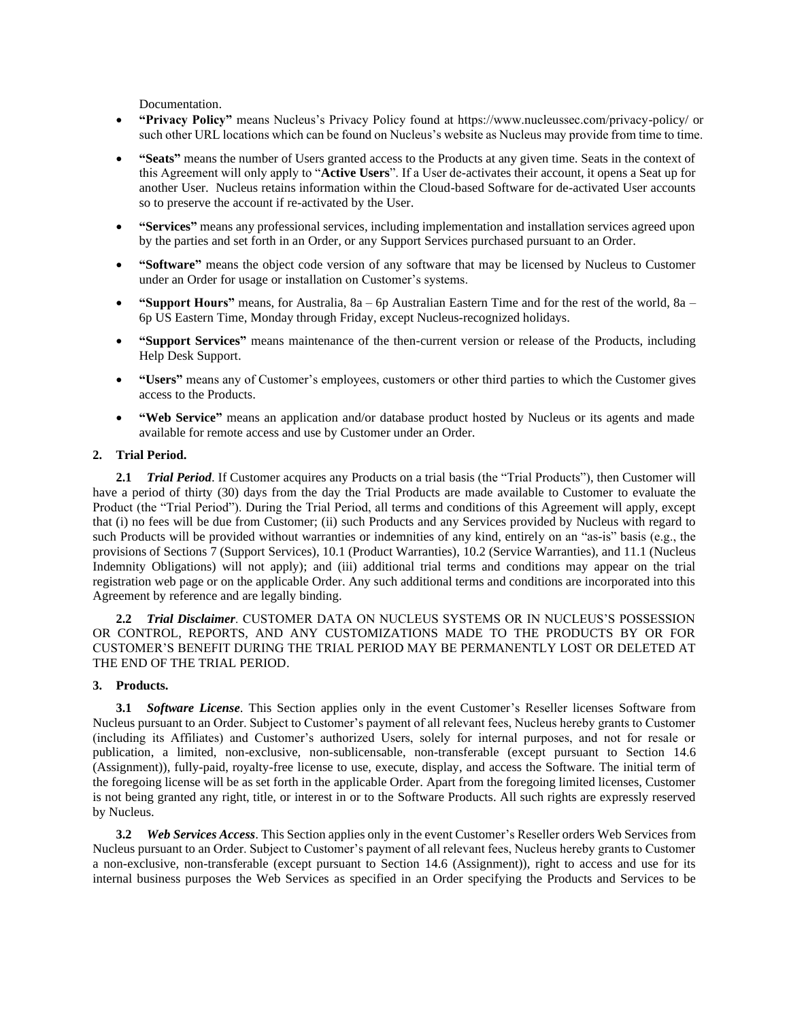Documentation.

- **"Privacy Policy"** means Nucleus's Privacy Policy found at https://www.nucleussec.com/privacy-policy/ or such other URL locations which can be found on Nucleus's website as Nucleus may provide from time to time.
- **"Seats"** means the number of Users granted access to the Products at any given time. Seats in the context of this Agreement will only apply to "**Active Users**". If a User de-activates their account, it opens a Seat up for another User. Nucleus retains information within the Cloud-based Software for de-activated User accounts so to preserve the account if re-activated by the User.
- **"Services"** means any professional services, including implementation and installation services agreed upon by the parties and set forth in an Order, or any Support Services purchased pursuant to an Order.
- **"Software"** means the object code version of any software that may be licensed by Nucleus to Customer under an Order for usage or installation on Customer's systems.
- **"Support Hours"** means, for Australia, 8a 6p Australian Eastern Time and for the rest of the world, 8a 6p US Eastern Time, Monday through Friday, except Nucleus-recognized holidays.
- **"Support Services"** means maintenance of the then-current version or release of the Products, including Help Desk Support.
- **"Users"** means any of Customer's employees, customers or other third parties to which the Customer gives access to the Products.
- **"Web Service"** means an application and/or database product hosted by Nucleus or its agents and made available for remote access and use by Customer under an Order.

# **2. Trial Period.**

**2.1** *Trial Period*. If Customer acquires any Products on a trial basis (the "Trial Products"), then Customer will have a period of thirty (30) days from the day the Trial Products are made available to Customer to evaluate the Product (the "Trial Period"). During the Trial Period, all terms and conditions of this Agreement will apply, except that (i) no fees will be due from Customer; (ii) such Products and any Services provided by Nucleus with regard to such Products will be provided without warranties or indemnities of any kind, entirely on an "as-is" basis (e.g., the provisions of Sections [7](#page-4-0) (Support Services)[, 10.1](#page-4-1) (Product Warranties), [10.2](#page-5-0) (Service Warranties), and [11.1](#page-5-0) (Nucleus Indemnity Obligations) will not apply); and (iii) additional trial terms and conditions may appear on the trial registration web page or on the applicable Order. Any such additional terms and conditions are incorporated into this Agreement by reference and are legally binding.

**2.2** *Trial Disclaimer*. CUSTOMER DATA ON NUCLEUS SYSTEMS OR IN NUCLEUS'S POSSESSION OR CONTROL, REPORTS, AND ANY CUSTOMIZATIONS MADE TO THE PRODUCTS BY OR FOR CUSTOMER'S BENEFIT DURING THE TRIAL PERIOD MAY BE PERMANENTLY LOST OR DELETED AT THE END OF THE TRIAL PERIOD.

## **3. Products.**

**3.1** *Software License*. This Section applies only in the event Customer's Reseller licenses Software from Nucleus pursuant to an Order. Subject to Customer's payment of all relevant fees, Nucleus hereby grants to Customer (including its Affiliates) and Customer's authorized Users, solely for internal purposes, and not for resale or publication, a limited, non-exclusive, non-sublicensable, non-transferable (except pursuant to Section [14.6](#page-8-0) (Assignment)), fully-paid, royalty-free license to use, execute, display, and access the Software. The initial term of the foregoing license will be as set forth in the applicable Order. Apart from the foregoing limited licenses, Customer is not being granted any right, title, or interest in or to the Software Products. All such rights are expressly reserved by Nucleus.

**3.2** *Web Services Access*. This Section applies only in the event Customer's Reseller orders Web Services from Nucleus pursuant to an Order. Subject to Customer's payment of all relevant fees, Nucleus hereby grants to Customer a non-exclusive, non-transferable (except pursuant to Section [14.6](#page-8-0) (Assignment)), right to access and use for its internal business purposes the Web Services as specified in an Order specifying the Products and Services to be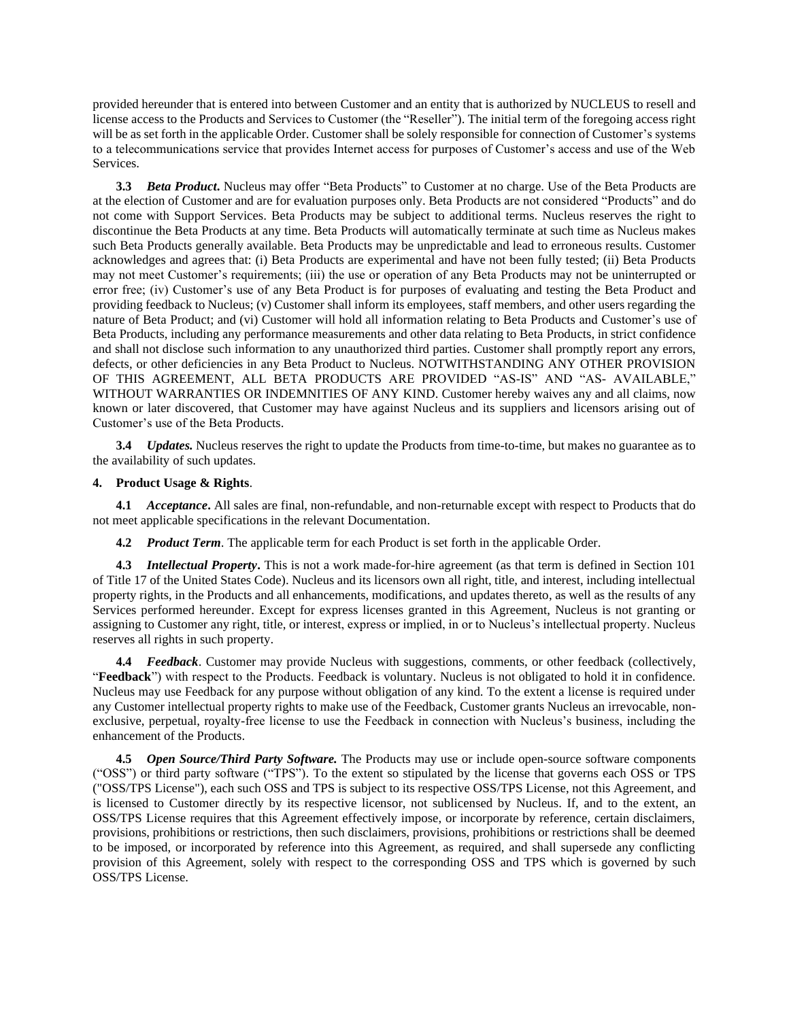provided hereunder that is entered into between Customer and an entity that is authorized by NUCLEUS to resell and license access to the Products and Services to Customer (the "Reseller"). The initial term of the foregoing access right will be as set forth in the applicable Order. Customer shall be solely responsible for connection of Customer's systems to a telecommunications service that provides Internet access for purposes of Customer's access and use of the Web Services.

**3.3** *Beta Product***.** Nucleus may offer "Beta Products" to Customer at no charge. Use of the Beta Products are at the election of Customer and are for evaluation purposes only. Beta Products are not considered "Products" and do not come with Support Services. Beta Products may be subject to additional terms. Nucleus reserves the right to discontinue the Beta Products at any time. Beta Products will automatically terminate at such time as Nucleus makes such Beta Products generally available. Beta Products may be unpredictable and lead to erroneous results. Customer acknowledges and agrees that: (i) Beta Products are experimental and have not been fully tested; (ii) Beta Products may not meet Customer's requirements; (iii) the use or operation of any Beta Products may not be uninterrupted or error free; (iv) Customer's use of any Beta Product is for purposes of evaluating and testing the Beta Product and providing feedback to Nucleus; (v) Customer shall inform its employees, staff members, and other users regarding the nature of Beta Product; and (vi) Customer will hold all information relating to Beta Products and Customer's use of Beta Products, including any performance measurements and other data relating to Beta Products, in strict confidence and shall not disclose such information to any unauthorized third parties. Customer shall promptly report any errors, defects, or other deficiencies in any Beta Product to Nucleus. NOTWITHSTANDING ANY OTHER PROVISION OF THIS AGREEMENT, ALL BETA PRODUCTS ARE PROVIDED "AS-IS" AND "AS- AVAILABLE," WITHOUT WARRANTIES OR INDEMNITIES OF ANY KIND. Customer hereby waives any and all claims, now known or later discovered, that Customer may have against Nucleus and its suppliers and licensors arising out of Customer's use of the Beta Products.

**3.4** *Updates.* Nucleus reserves the right to update the Products from time-to-time, but makes no guarantee as to the availability of such updates.

#### **4. Product Usage & Rights**.

**4.1** *Acceptance***.** All sales are final, non-refundable, and non-returnable except with respect to Products that do not meet applicable specifications in the relevant Documentation.

**4.2** *Product Term*. The applicable term for each Product is set forth in the applicable Order.

**4.3** *Intellectual Property***.** This is not a work made-for-hire agreement (as that term is defined in Section 101 of Title 17 of the United States Code). Nucleus and its licensors own all right, title, and interest, including intellectual property rights, in the Products and all enhancements, modifications, and updates thereto, as well as the results of any Services performed hereunder. Except for express licenses granted in this Agreement, Nucleus is not granting or assigning to Customer any right, title, or interest, express or implied, in or to Nucleus's intellectual property. Nucleus reserves all rights in such property.

**4.4** *Feedback*. Customer may provide Nucleus with suggestions, comments, or other feedback (collectively, "**Feedback**") with respect to the Products. Feedback is voluntary. Nucleus is not obligated to hold it in confidence. Nucleus may use Feedback for any purpose without obligation of any kind. To the extent a license is required under any Customer intellectual property rights to make use of the Feedback, Customer grants Nucleus an irrevocable, nonexclusive, perpetual, royalty-free license to use the Feedback in connection with Nucleus's business, including the enhancement of the Products.

**4.5** *Open Source/Third Party Software.* The Products may use or include open-source software components ("OSS") or third party software ("TPS"). To the extent so stipulated by the license that governs each OSS or TPS ("OSS/TPS License"), each such OSS and TPS is subject to its respective OSS/TPS License, not this Agreement, and is licensed to Customer directly by its respective licensor, not sublicensed by Nucleus. If, and to the extent, an OSS/TPS License requires that this Agreement effectively impose, or incorporate by reference, certain disclaimers, provisions, prohibitions or restrictions, then such disclaimers, provisions, prohibitions or restrictions shall be deemed to be imposed, or incorporated by reference into this Agreement, as required, and shall supersede any conflicting provision of this Agreement, solely with respect to the corresponding OSS and TPS which is governed by such OSS/TPS License.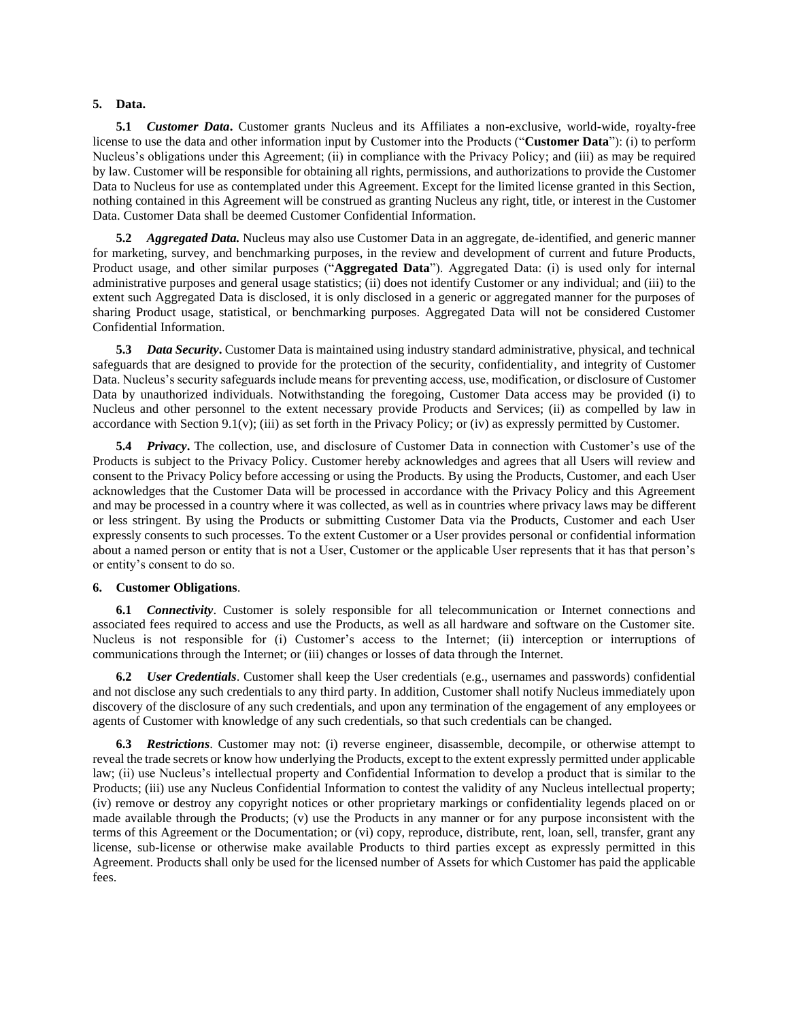#### **5. Data.**

**5.1** *Customer Data***.** Customer grants Nucleus and its Affiliates a non-exclusive, world-wide, royalty-free license to use the data and other information input by Customer into the Products ("**Customer Data**"): (i) to perform Nucleus's obligations under this Agreement; (ii) in compliance with the Privacy Policy; and (iii) as may be required by law. Customer will be responsible for obtaining all rights, permissions, and authorizations to provide the Customer Data to Nucleus for use as contemplated under this Agreement. Except for the limited license granted in this Section, nothing contained in this Agreement will be construed as granting Nucleus any right, title, or interest in the Customer Data. Customer Data shall be deemed Customer Confidential Information.

**5.2** *Aggregated Data.* Nucleus may also use Customer Data in an aggregate, de-identified, and generic manner for marketing, survey, and benchmarking purposes, in the review and development of current and future Products, Product usage, and other similar purposes ("**Aggregated Data**"). Aggregated Data: (i) is used only for internal administrative purposes and general usage statistics; (ii) does not identify Customer or any individual; and (iii) to the extent such Aggregated Data is disclosed, it is only disclosed in a generic or aggregated manner for the purposes of sharing Product usage, statistical, or benchmarking purposes. Aggregated Data will not be considered Customer Confidential Information.

**5.3** *Data Security***.** Customer Data is maintained using industry standard administrative, physical, and technical safeguards that are designed to provide for the protection of the security, confidentiality, and integrity of Customer Data. Nucleus's security safeguards include means for preventing access, use, modification, or disclosure of Customer Data by unauthorized individuals. Notwithstanding the foregoing, Customer Data access may be provided (i) to Nucleus and other personnel to the extent necessary provide Products and Services; (ii) as compelled by law in accordance with Section [9.1\(](#page-4-1)v); (iii) as set forth in the Privacy Policy; or (iv) as expressly permitted by Customer.

**5.4** *Privacy***.** The collection, use, and disclosure of Customer Data in connection with Customer's use of the Products is subject to the Privacy Policy. Customer hereby acknowledges and agrees that all Users will review and consent to the Privacy Policy before accessing or using the Products. By using the Products, Customer, and each User acknowledges that the Customer Data will be processed in accordance with the Privacy Policy and this Agreement and may be processed in a country where it was collected, as well as in countries where privacy laws may be different or less stringent. By using the Products or submitting Customer Data via the Products, Customer and each User expressly consents to such processes. To the extent Customer or a User provides personal or confidential information about a named person or entity that is not a User, Customer or the applicable User represents that it has that person's or entity's consent to do so.

#### **6. Customer Obligations**.

**6.1** *Connectivity*. Customer is solely responsible for all telecommunication or Internet connections and associated fees required to access and use the Products, as well as all hardware and software on the Customer site. Nucleus is not responsible for (i) Customer's access to the Internet; (ii) interception or interruptions of communications through the Internet; or (iii) changes or losses of data through the Internet.

**6.2** *User Credentials*. Customer shall keep the User credentials (e.g., usernames and passwords) confidential and not disclose any such credentials to any third party. In addition, Customer shall notify Nucleus immediately upon discovery of the disclosure of any such credentials, and upon any termination of the engagement of any employees or agents of Customer with knowledge of any such credentials, so that such credentials can be changed.

**6.3** *Restrictions*. Customer may not: (i) reverse engineer, disassemble, decompile, or otherwise attempt to reveal the trade secrets or know how underlying the Products, except to the extent expressly permitted under applicable law; (ii) use Nucleus's intellectual property and Confidential Information to develop a product that is similar to the Products; (iii) use any Nucleus Confidential Information to contest the validity of any Nucleus intellectual property; (iv) remove or destroy any copyright notices or other proprietary markings or confidentiality legends placed on or made available through the Products; (v) use the Products in any manner or for any purpose inconsistent with the terms of this Agreement or the Documentation; or (vi) copy, reproduce, distribute, rent, loan, sell, transfer, grant any license, sub-license or otherwise make available Products to third parties except as expressly permitted in this Agreement. Products shall only be used for the licensed number of Assets for which Customer has paid the applicable fees.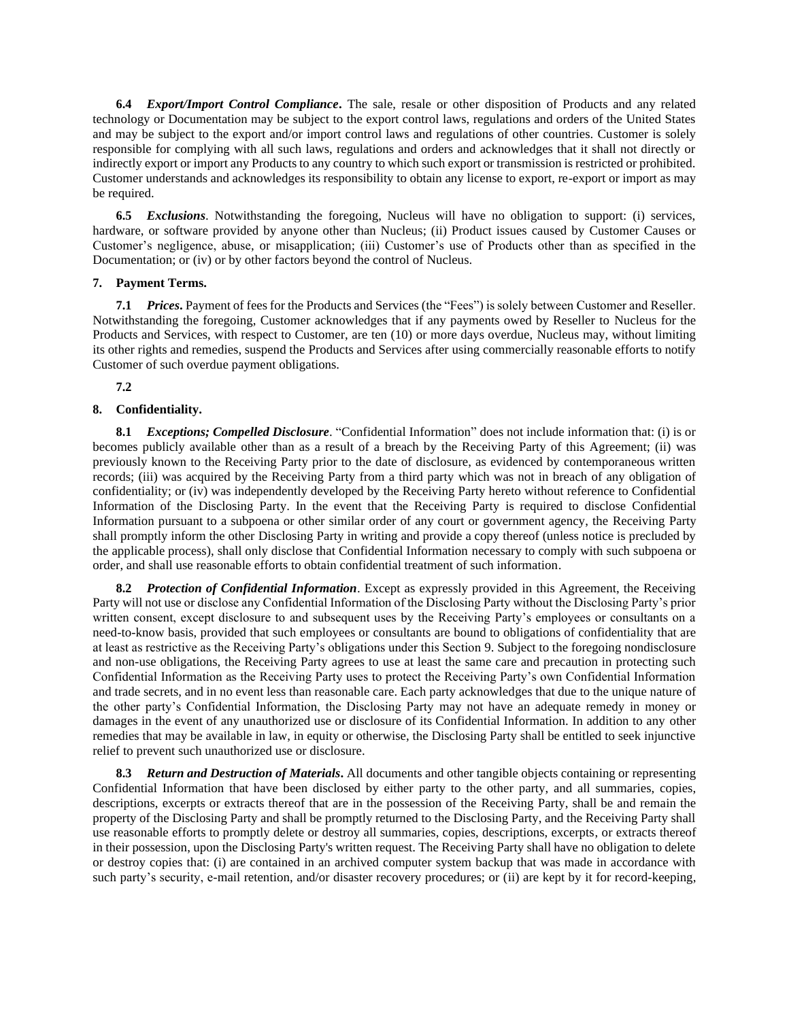<span id="page-4-0"></span>**6.4** *Export/Import Control Compliance***.** The sale, resale or other disposition of Products and any related technology or Documentation may be subject to the export control laws, regulations and orders of the United States and may be subject to the export and/or import control laws and regulations of other countries. Customer is solely responsible for complying with all such laws, regulations and orders and acknowledges that it shall not directly or indirectly export or import any Products to any country to which such export or transmission is restricted or prohibited. Customer understands and acknowledges its responsibility to obtain any license to export, re-export or import as may be required.

**6.5** *Exclusions*. Notwithstanding the foregoing, Nucleus will have no obligation to support: (i) services, hardware, or software provided by anyone other than Nucleus; (ii) Product issues caused by Customer Causes or Customer's negligence, abuse, or misapplication; (iii) Customer's use of Products other than as specified in the Documentation; or (iv) or by other factors beyond the control of Nucleus.

# **7. Payment Terms.**

**7.1** *Prices***.** Payment of fees for the Products and Services (the "Fees") is solely between Customer and Reseller. Notwithstanding the foregoing, Customer acknowledges that if any payments owed by Reseller to Nucleus for the Products and Services, with respect to Customer, are ten (10) or more days overdue, Nucleus may, without limiting its other rights and remedies, suspend the Products and Services after using commercially reasonable efforts to notify Customer of such overdue payment obligations.

**7.2**

# <span id="page-4-1"></span>**8. Confidentiality.**

**8.1** *Exceptions; Compelled Disclosure*. "Confidential Information" does not include information that: (i) is or becomes publicly available other than as a result of a breach by the Receiving Party of this Agreement; (ii) was previously known to the Receiving Party prior to the date of disclosure, as evidenced by contemporaneous written records; (iii) was acquired by the Receiving Party from a third party which was not in breach of any obligation of confidentiality; or (iv) was independently developed by the Receiving Party hereto without reference to Confidential Information of the Disclosing Party. In the event that the Receiving Party is required to disclose Confidential Information pursuant to a subpoena or other similar order of any court or government agency, the Receiving Party shall promptly inform the other Disclosing Party in writing and provide a copy thereof (unless notice is precluded by the applicable process), shall only disclose that Confidential Information necessary to comply with such subpoena or order, and shall use reasonable efforts to obtain confidential treatment of such information.

**8.2** *Protection of Confidential Information*. Except as expressly provided in this Agreement, the Receiving Party will not use or disclose any Confidential Information of the Disclosing Party without the Disclosing Party's prior written consent, except disclosure to and subsequent uses by the Receiving Party's employees or consultants on a need-to-know basis, provided that such employees or consultants are bound to obligations of confidentiality that are at least as restrictive as the Receiving Party's obligations under this Section 9. Subject to the foregoing nondisclosure and non-use obligations, the Receiving Party agrees to use at least the same care and precaution in protecting such Confidential Information as the Receiving Party uses to protect the Receiving Party's own Confidential Information and trade secrets, and in no event less than reasonable care. Each party acknowledges that due to the unique nature of the other party's Confidential Information, the Disclosing Party may not have an adequate remedy in money or damages in the event of any unauthorized use or disclosure of its Confidential Information. In addition to any other remedies that may be available in law, in equity or otherwise, the Disclosing Party shall be entitled to seek injunctive relief to prevent such unauthorized use or disclosure.

**8.3** *Return and Destruction of Materials***.** All documents and other tangible objects containing or representing Confidential Information that have been disclosed by either party to the other party, and all summaries, copies, descriptions, excerpts or extracts thereof that are in the possession of the Receiving Party, shall be and remain the property of the Disclosing Party and shall be promptly returned to the Disclosing Party, and the Receiving Party shall use reasonable efforts to promptly delete or destroy all summaries, copies, descriptions, excerpts, or extracts thereof in their possession, upon the Disclosing Party's written request. The Receiving Party shall have no obligation to delete or destroy copies that: (i) are contained in an archived computer system backup that was made in accordance with such party's security, e-mail retention, and/or disaster recovery procedures; or (ii) are kept by it for record-keeping,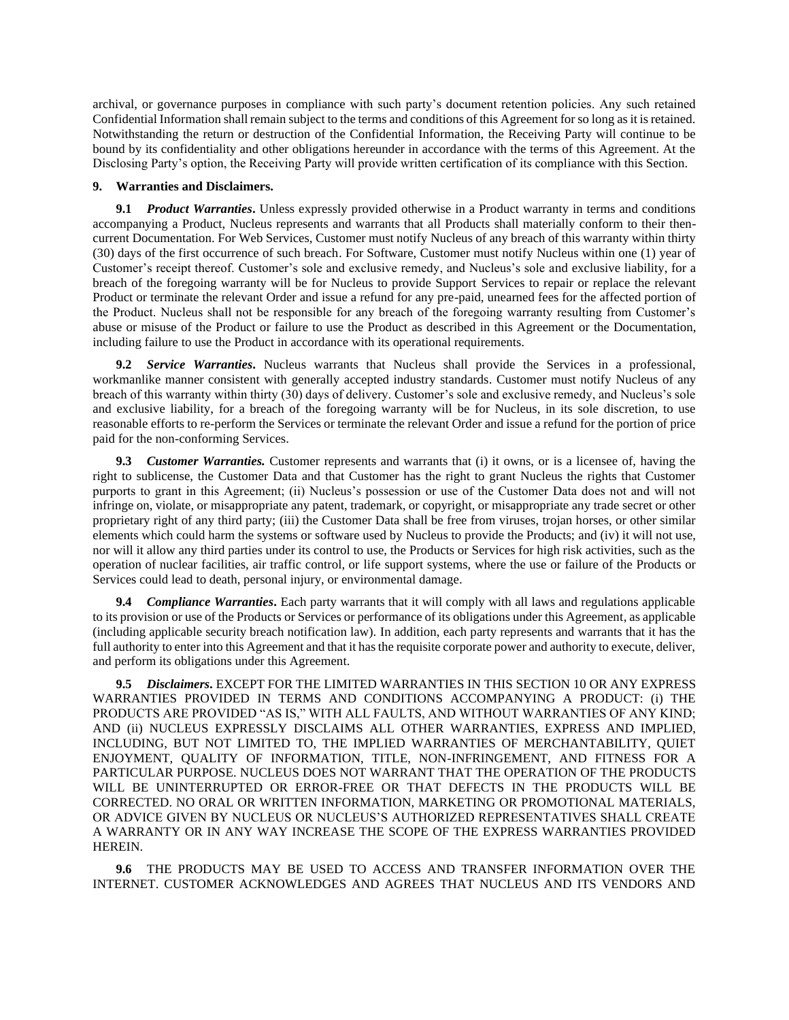archival, or governance purposes in compliance with such party's document retention policies. Any such retained Confidential Information shall remain subject to the terms and conditions of this Agreement for so long as it is retained. Notwithstanding the return or destruction of the Confidential Information, the Receiving Party will continue to be bound by its confidentiality and other obligations hereunder in accordance with the terms of this Agreement. At the Disclosing Party's option, the Receiving Party will provide written certification of its compliance with this Section.

## **9. Warranties and Disclaimers.**

**9.1** *Product Warranties*. Unless expressly provided otherwise in a Product warranty in terms and conditions accompanying a Product, Nucleus represents and warrants that all Products shall materially conform to their thencurrent Documentation. For Web Services, Customer must notify Nucleus of any breach of this warranty within thirty (30) days of the first occurrence of such breach. For Software, Customer must notify Nucleus within one (1) year of Customer's receipt thereof. Customer's sole and exclusive remedy, and Nucleus's sole and exclusive liability, for a breach of the foregoing warranty will be for Nucleus to provide Support Services to repair or replace the relevant Product or terminate the relevant Order and issue a refund for any pre-paid, unearned fees for the affected portion of the Product. Nucleus shall not be responsible for any breach of the foregoing warranty resulting from Customer's abuse or misuse of the Product or failure to use the Product as described in this Agreement or the Documentation, including failure to use the Product in accordance with its operational requirements.

<span id="page-5-0"></span>**9.2** *Service Warranties***.** Nucleus warrants that Nucleus shall provide the Services in a professional, workmanlike manner consistent with generally accepted industry standards. Customer must notify Nucleus of any breach of this warranty within thirty (30) days of delivery. Customer's sole and exclusive remedy, and Nucleus's sole and exclusive liability, for a breach of the foregoing warranty will be for Nucleus, in its sole discretion, to use reasonable efforts to re-perform the Services or terminate the relevant Order and issue a refund for the portion of price paid for the non-conforming Services.

**9.3** *Customer Warranties.* Customer represents and warrants that (i) it owns, or is a licensee of, having the right to sublicense, the Customer Data and that Customer has the right to grant Nucleus the rights that Customer purports to grant in this Agreement; (ii) Nucleus's possession or use of the Customer Data does not and will not infringe on, violate, or misappropriate any patent, trademark, or copyright, or misappropriate any trade secret or other proprietary right of any third party; (iii) the Customer Data shall be free from viruses, trojan horses, or other similar elements which could harm the systems or software used by Nucleus to provide the Products; and (iv) it will not use, nor will it allow any third parties under its control to use, the Products or Services for high risk activities, such as the operation of nuclear facilities, air traffic control, or life support systems, where the use or failure of the Products or Services could lead to death, personal injury, or environmental damage.

**9.4** *Compliance Warranties***.** Each party warrants that it will comply with all laws and regulations applicable to its provision or use of the Products or Services or performance of its obligations under this Agreement, as applicable (including applicable security breach notification law). In addition, each party represents and warrants that it has the full authority to enter into this Agreement and that it has the requisite corporate power and authority to execute, deliver, and perform its obligations under this Agreement.

**9.5** *Disclaimers***.** EXCEPT FOR THE LIMITED WARRANTIES IN THIS SECTION [10](#page-4-1) OR ANY EXPRESS WARRANTIES PROVIDED IN TERMS AND CONDITIONS ACCOMPANYING A PRODUCT: (i) THE PRODUCTS ARE PROVIDED "AS IS," WITH ALL FAULTS, AND WITHOUT WARRANTIES OF ANY KIND; AND (ii) NUCLEUS EXPRESSLY DISCLAIMS ALL OTHER WARRANTIES, EXPRESS AND IMPLIED, INCLUDING, BUT NOT LIMITED TO, THE IMPLIED WARRANTIES OF MERCHANTABILITY, QUIET ENJOYMENT, QUALITY OF INFORMATION, TITLE, NON-INFRINGEMENT, AND FITNESS FOR A PARTICULAR PURPOSE. NUCLEUS DOES NOT WARRANT THAT THE OPERATION OF THE PRODUCTS WILL BE UNINTERRUPTED OR ERROR-FREE OR THAT DEFECTS IN THE PRODUCTS WILL BE CORRECTED. NO ORAL OR WRITTEN INFORMATION, MARKETING OR PROMOTIONAL MATERIALS, OR ADVICE GIVEN BY NUCLEUS OR NUCLEUS'S AUTHORIZED REPRESENTATIVES SHALL CREATE A WARRANTY OR IN ANY WAY INCREASE THE SCOPE OF THE EXPRESS WARRANTIES PROVIDED HEREIN.

**9.6** THE PRODUCTS MAY BE USED TO ACCESS AND TRANSFER INFORMATION OVER THE INTERNET. CUSTOMER ACKNOWLEDGES AND AGREES THAT NUCLEUS AND ITS VENDORS AND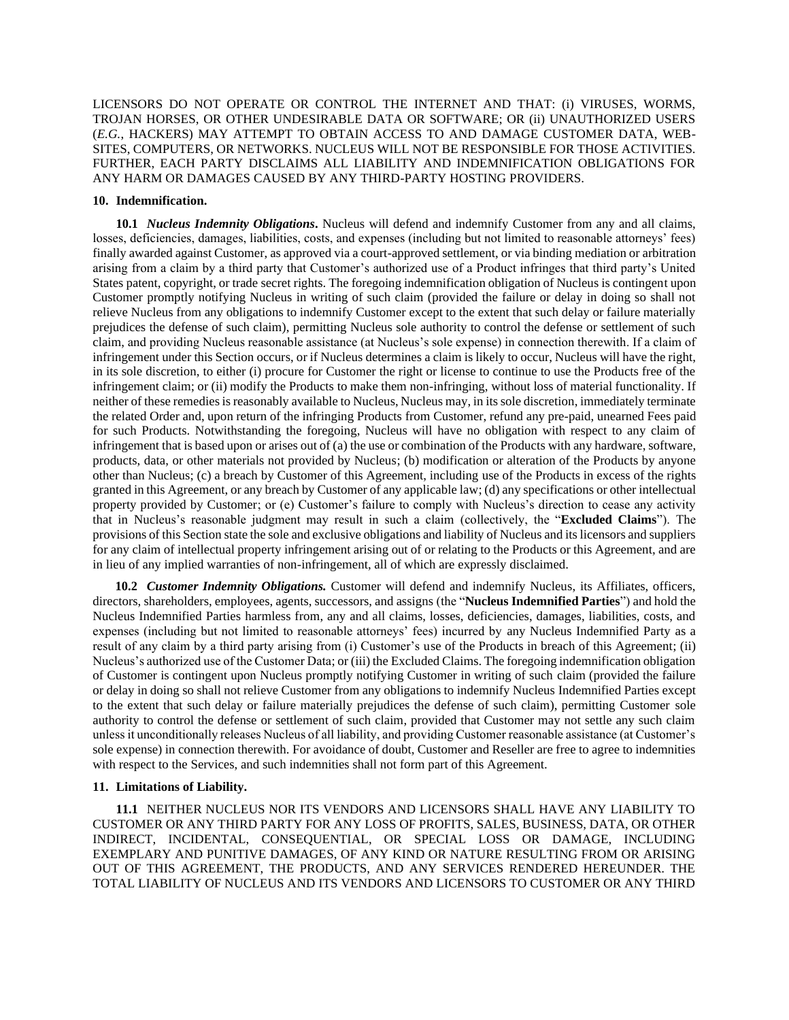LICENSORS DO NOT OPERATE OR CONTROL THE INTERNET AND THAT: (i) VIRUSES, WORMS, TROJAN HORSES, OR OTHER UNDESIRABLE DATA OR SOFTWARE; OR (ii) UNAUTHORIZED USERS (*E.G.*, HACKERS) MAY ATTEMPT TO OBTAIN ACCESS TO AND DAMAGE CUSTOMER DATA, WEB-SITES, COMPUTERS, OR NETWORKS. NUCLEUS WILL NOT BE RESPONSIBLE FOR THOSE ACTIVITIES. FURTHER, EACH PARTY DISCLAIMS ALL LIABILITY AND INDEMNIFICATION OBLIGATIONS FOR ANY HARM OR DAMAGES CAUSED BY ANY THIRD-PARTY HOSTING PROVIDERS.

#### **10. Indemnification.**

**10.1** *Nucleus Indemnity Obligations***.** Nucleus will defend and indemnify Customer from any and all claims, losses, deficiencies, damages, liabilities, costs, and expenses (including but not limited to reasonable attorneys' fees) finally awarded against Customer, as approved via a court-approved settlement, or via binding mediation or arbitration arising from a claim by a third party that Customer's authorized use of a Product infringes that third party's United States patent, copyright, or trade secret rights. The foregoing indemnification obligation of Nucleus is contingent upon Customer promptly notifying Nucleus in writing of such claim (provided the failure or delay in doing so shall not relieve Nucleus from any obligations to indemnify Customer except to the extent that such delay or failure materially prejudices the defense of such claim), permitting Nucleus sole authority to control the defense or settlement of such claim, and providing Nucleus reasonable assistance (at Nucleus's sole expense) in connection therewith. If a claim of infringement under this Section occurs, or if Nucleus determines a claim is likely to occur, Nucleus will have the right, in its sole discretion, to either (i) procure for Customer the right or license to continue to use the Products free of the infringement claim; or (ii) modify the Products to make them non-infringing, without loss of material functionality. If neither of these remedies is reasonably available to Nucleus, Nucleus may, in its sole discretion, immediately terminate the related Order and, upon return of the infringing Products from Customer, refund any pre-paid, unearned Fees paid for such Products. Notwithstanding the foregoing, Nucleus will have no obligation with respect to any claim of infringement that is based upon or arises out of (a) the use or combination of the Products with any hardware, software, products, data, or other materials not provided by Nucleus; (b) modification or alteration of the Products by anyone other than Nucleus; (c) a breach by Customer of this Agreement, including use of the Products in excess of the rights granted in this Agreement, or any breach by Customer of any applicable law; (d) any specifications or other intellectual property provided by Customer; or (e) Customer's failure to comply with Nucleus's direction to cease any activity that in Nucleus's reasonable judgment may result in such a claim (collectively, the "**Excluded Claims**"). The provisions of this Section state the sole and exclusive obligations and liability of Nucleus and its licensors and suppliers for any claim of intellectual property infringement arising out of or relating to the Products or this Agreement, and are in lieu of any implied warranties of non-infringement, all of which are expressly disclaimed.

**10.2** *Customer Indemnity Obligations.* Customer will defend and indemnify Nucleus, its Affiliates, officers, directors, shareholders, employees, agents, successors, and assigns (the "**Nucleus Indemnified Parties**") and hold the Nucleus Indemnified Parties harmless from, any and all claims, losses, deficiencies, damages, liabilities, costs, and expenses (including but not limited to reasonable attorneys' fees) incurred by any Nucleus Indemnified Party as a result of any claim by a third party arising from (i) Customer's use of the Products in breach of this Agreement; (ii) Nucleus's authorized use of the Customer Data; or (iii) the Excluded Claims. The foregoing indemnification obligation of Customer is contingent upon Nucleus promptly notifying Customer in writing of such claim (provided the failure or delay in doing so shall not relieve Customer from any obligations to indemnify Nucleus Indemnified Parties except to the extent that such delay or failure materially prejudices the defense of such claim), permitting Customer sole authority to control the defense or settlement of such claim, provided that Customer may not settle any such claim unless it unconditionally releases Nucleus of all liability, and providing Customer reasonable assistance (at Customer's sole expense) in connection therewith. For avoidance of doubt, Customer and Reseller are free to agree to indemnities with respect to the Services, and such indemnities shall not form part of this Agreement.

## **11. Limitations of Liability.**

**11.1** NEITHER NUCLEUS NOR ITS VENDORS AND LICENSORS SHALL HAVE ANY LIABILITY TO CUSTOMER OR ANY THIRD PARTY FOR ANY LOSS OF PROFITS, SALES, BUSINESS, DATA, OR OTHER INDIRECT, INCIDENTAL, CONSEQUENTIAL, OR SPECIAL LOSS OR DAMAGE, INCLUDING EXEMPLARY AND PUNITIVE DAMAGES, OF ANY KIND OR NATURE RESULTING FROM OR ARISING OUT OF THIS AGREEMENT, THE PRODUCTS, AND ANY SERVICES RENDERED HEREUNDER. THE TOTAL LIABILITY OF NUCLEUS AND ITS VENDORS AND LICENSORS TO CUSTOMER OR ANY THIRD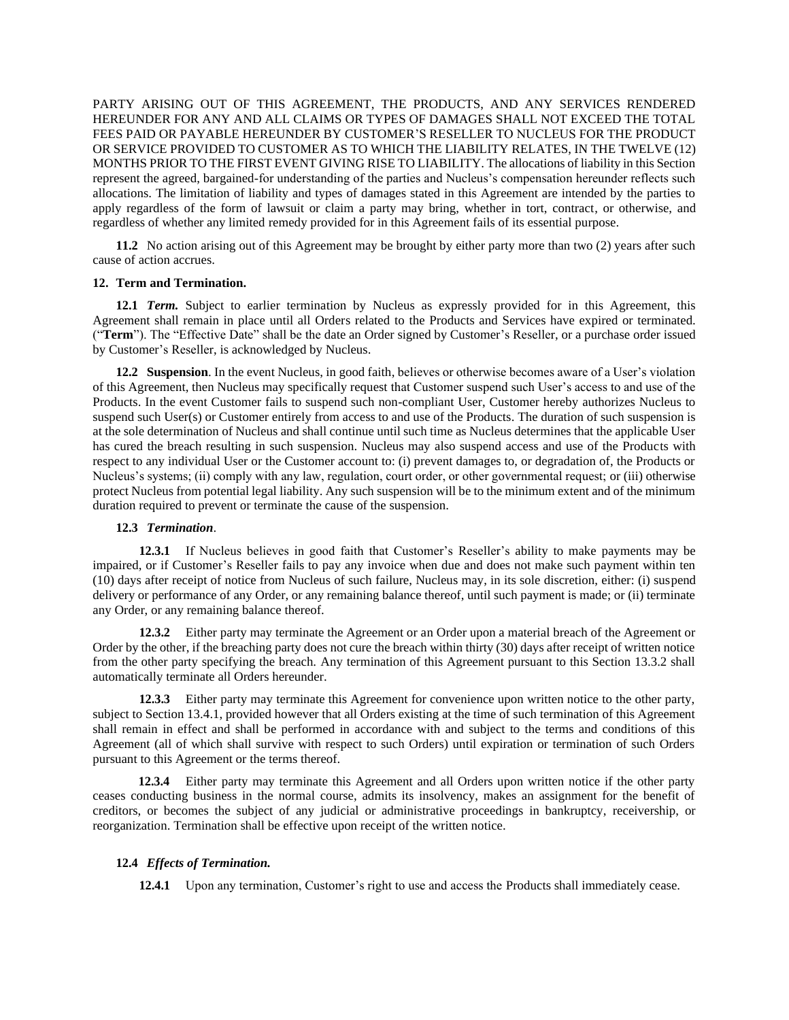PARTY ARISING OUT OF THIS AGREEMENT, THE PRODUCTS, AND ANY SERVICES RENDERED HEREUNDER FOR ANY AND ALL CLAIMS OR TYPES OF DAMAGES SHALL NOT EXCEED THE TOTAL FEES PAID OR PAYABLE HEREUNDER BY CUSTOMER'S RESELLER TO NUCLEUS FOR THE PRODUCT OR SERVICE PROVIDED TO CUSTOMER AS TO WHICH THE LIABILITY RELATES, IN THE TWELVE (12) MONTHS PRIOR TO THE FIRST EVENT GIVING RISE TO LIABILITY. The allocations of liability in this Section represent the agreed, bargained-for understanding of the parties and Nucleus's compensation hereunder reflects such allocations. The limitation of liability and types of damages stated in this Agreement are intended by the parties to apply regardless of the form of lawsuit or claim a party may bring, whether in tort, contract, or otherwise, and regardless of whether any limited remedy provided for in this Agreement fails of its essential purpose.

**11.2** No action arising out of this Agreement may be brought by either party more than two (2) years after such cause of action accrues.

## **12. Term and Termination.**

**12.1** *Term.* Subject to earlier termination by Nucleus as expressly provided for in this Agreement, this Agreement shall remain in place until all Orders related to the Products and Services have expired or terminated. ("**Term**"). The "Effective Date" shall be the date an Order signed by Customer's Reseller, or a purchase order issued by Customer's Reseller, is acknowledged by Nucleus.

**12.2 Suspension**. In the event Nucleus, in good faith, believes or otherwise becomes aware of a User's violation of this Agreement, then Nucleus may specifically request that Customer suspend such User's access to and use of the Products. In the event Customer fails to suspend such non-compliant User, Customer hereby authorizes Nucleus to suspend such User(s) or Customer entirely from access to and use of the Products. The duration of such suspension is at the sole determination of Nucleus and shall continue until such time as Nucleus determines that the applicable User has cured the breach resulting in such suspension. Nucleus may also suspend access and use of the Products with respect to any individual User or the Customer account to: (i) prevent damages to, or degradation of, the Products or Nucleus's systems; (ii) comply with any law, regulation, court order, or other governmental request; or (iii) otherwise protect Nucleus from potential legal liability. Any such suspension will be to the minimum extent and of the minimum duration required to prevent or terminate the cause of the suspension.

# **12.3** *Termination*.

**12.3.1** If Nucleus believes in good faith that Customer's Reseller's ability to make payments may be impaired, or if Customer's Reseller fails to pay any invoice when due and does not make such payment within ten (10) days after receipt of notice from Nucleus of such failure, Nucleus may, in its sole discretion, either: (i) suspend delivery or performance of any Order, or any remaining balance thereof, until such payment is made; or (ii) terminate any Order, or any remaining balance thereof.

**12.3.2** Either party may terminate the Agreement or an Order upon a material breach of the Agreement or Order by the other, if the breaching party does not cure the breach within thirty (30) days after receipt of written notice from the other party specifying the breach. Any termination of this Agreement pursuant to this Section 13.3.2 shall automatically terminate all Orders hereunder.

**12.3.3** Either party may terminate this Agreement for convenience upon written notice to the other party, subject to Section 13.4.1, provided however that all Orders existing at the time of such termination of this Agreement shall remain in effect and shall be performed in accordance with and subject to the terms and conditions of this Agreement (all of which shall survive with respect to such Orders) until expiration or termination of such Orders pursuant to this Agreement or the terms thereof.

**12.3.4** Either party may terminate this Agreement and all Orders upon written notice if the other party ceases conducting business in the normal course, admits its insolvency, makes an assignment for the benefit of creditors, or becomes the subject of any judicial or administrative proceedings in bankruptcy, receivership, or reorganization. Termination shall be effective upon receipt of the written notice.

#### **12.4** *Effects of Termination.*

**12.4.1** Upon any termination, Customer's right to use and access the Products shall immediately cease.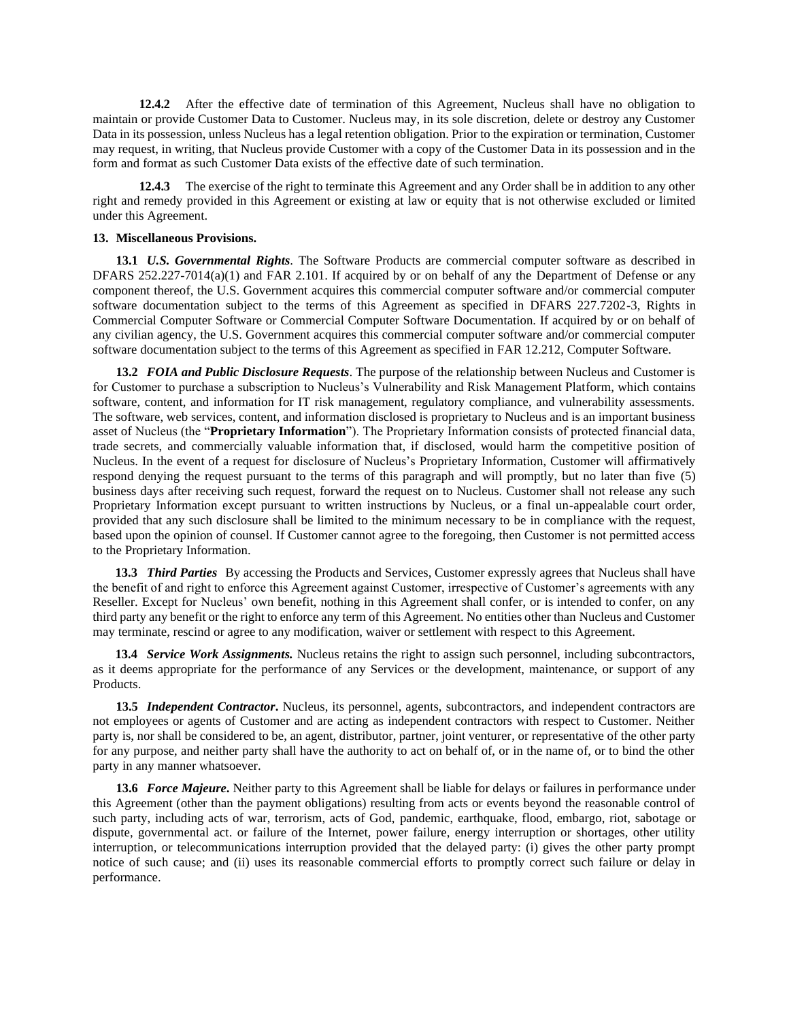**12.4.2** After the effective date of termination of this Agreement, Nucleus shall have no obligation to maintain or provide Customer Data to Customer. Nucleus may, in its sole discretion, delete or destroy any Customer Data in its possession, unless Nucleus has a legal retention obligation. Prior to the expiration or termination, Customer may request, in writing, that Nucleus provide Customer with a copy of the Customer Data in its possession and in the form and format as such Customer Data exists of the effective date of such termination.

**12.4.3** The exercise of the right to terminate this Agreement and any Order shall be in addition to any other right and remedy provided in this Agreement or existing at law or equity that is not otherwise excluded or limited under this Agreement.

#### **13. Miscellaneous Provisions.**

**13.1** *U.S. Governmental Rights*. The Software Products are commercial computer software as described in DFARS 252.227-7014(a)(1) and FAR 2.101. If acquired by or on behalf of any the Department of Defense or any component thereof, the U.S. Government acquires this commercial computer software and/or commercial computer software documentation subject to the terms of this Agreement as specified in DFARS 227.7202-3, Rights in Commercial Computer Software or Commercial Computer Software Documentation. If acquired by or on behalf of any civilian agency, the U.S. Government acquires this commercial computer software and/or commercial computer software documentation subject to the terms of this Agreement as specified in FAR 12.212, Computer Software.

**13.2** *FOIA and Public Disclosure Requests*. The purpose of the relationship between Nucleus and Customer is for Customer to purchase a subscription to Nucleus's Vulnerability and Risk Management Platform, which contains software, content, and information for IT risk management, regulatory compliance, and vulnerability assessments. The software, web services, content, and information disclosed is proprietary to Nucleus and is an important business asset of Nucleus (the "**Proprietary Information**"). The Proprietary Information consists of protected financial data, trade secrets, and commercially valuable information that, if disclosed, would harm the competitive position of Nucleus. In the event of a request for disclosure of Nucleus's Proprietary Information, Customer will affirmatively respond denying the request pursuant to the terms of this paragraph and will promptly, but no later than five (5) business days after receiving such request, forward the request on to Nucleus. Customer shall not release any such Proprietary Information except pursuant to written instructions by Nucleus, or a final un-appealable court order, provided that any such disclosure shall be limited to the minimum necessary to be in compliance with the request, based upon the opinion of counsel. If Customer cannot agree to the foregoing, then Customer is not permitted access to the Proprietary Information.

<span id="page-8-0"></span>**13.3** *Third Parties* By accessing the Products and Services, Customer expressly agrees that Nucleus shall have the benefit of and right to enforce this Agreement against Customer, irrespective of Customer's agreements with any Reseller. Except for Nucleus' own benefit, nothing in this Agreement shall confer, or is intended to confer, on any third party any benefit or the right to enforce any term of this Agreement. No entities other than Nucleus and Customer may terminate, rescind or agree to any modification, waiver or settlement with respect to this Agreement.

**13.4** *Service Work Assignments.* Nucleus retains the right to assign such personnel, including subcontractors, as it deems appropriate for the performance of any Services or the development, maintenance, or support of any Products.

**13.5** *Independent Contractor***.** Nucleus, its personnel, agents, subcontractors, and independent contractors are not employees or agents of Customer and are acting as independent contractors with respect to Customer. Neither party is, nor shall be considered to be, an agent, distributor, partner, joint venturer, or representative of the other party for any purpose, and neither party shall have the authority to act on behalf of, or in the name of, or to bind the other party in any manner whatsoever.

**13.6** *Force Majeure***.** Neither party to this Agreement shall be liable for delays or failures in performance under this Agreement (other than the payment obligations) resulting from acts or events beyond the reasonable control of such party, including acts of war, terrorism, acts of God, pandemic, earthquake, flood, embargo, riot, sabotage or dispute, governmental act. or failure of the Internet, power failure, energy interruption or shortages, other utility interruption, or telecommunications interruption provided that the delayed party: (i) gives the other party prompt notice of such cause; and (ii) uses its reasonable commercial efforts to promptly correct such failure or delay in performance.